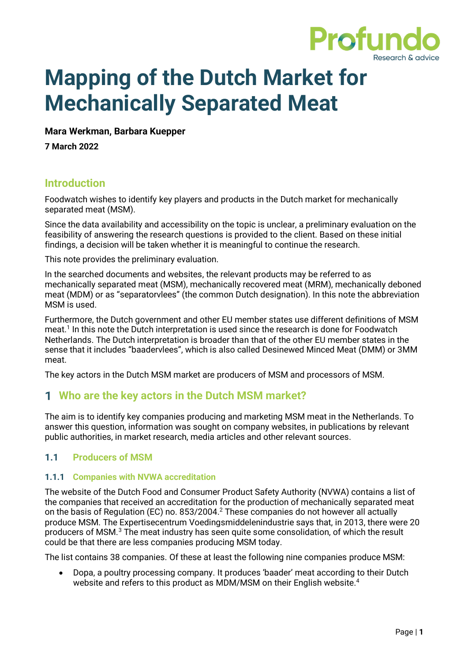<span id="page-0-0"></span>

# **Mapping of the Dutch Market for Mechanically Separated Meat**

#### **Mara Werkman, Barbara Kuepper**

**7 March 2022**

## **Introduction**

Foodwatch wishes to identify key players and products in the Dutch market for mechanically separated meat (MSM).

Since the data availability and accessibility on the topic is unclear, a preliminary evaluation on the feasibility of answering the research questions is provided to the client. Based on these initial findings, a decision will be taken whether it is meaningful to continue the research.

This note provides the preliminary evaluation.

In the searched documents and websites, the relevant products may be referred to as mechanically separated meat (MSM), mechanically recovered meat (MRM), mechanically deboned meat (MDM) or as "separatorvlees" (the common Dutch designation). In this note the abbreviation MSM is used.

Furthermore, the Dutch government and other EU member states use different definitions of MSM meat. 1 In this note the Dutch interpretation is used since the research is done for Foodwatch Netherlands. The Dutch interpretation is broader than that of the other EU member states in the sense that it includes "baadervlees", which is also called Desinewed Minced Meat (DMM) or 3MM meat.

The key actors in the Dutch MSM market are producers of MSM and processors of MSM.

# **Who are the key actors in the Dutch MSM market?**

The aim is to identify key companies producing and marketing MSM meat in the Netherlands. To answer this question, information was sought on company websites, in publications by relevant public authorities, in market research, media articles and other relevant sources.

## **1.1 Producers of MSM**

#### **1.1.1 Companies with NVWA accreditation**

The website of the Dutch Food and Consumer Product Safety Authority (NVWA) contains a list of the companies that received an accreditation for the production of mechanically separated meat on the basis of Regulation (EC) no. 853/2004. <sup>2</sup> These companies do not however all actually produce MSM. The Expertisecentrum Voedingsmiddelenindustrie says that, in 2013, there were 20 producers of MSM. <sup>3</sup> The meat industry has seen quite some consolidation, of which the result could be that there are less companies producing MSM today.

The list contains 38 companies. Of these at least the following nine companies produce MSM:

• Dopa, a poultry processing company. It produces 'baader' meat according to their Dutch website and refers to this product as MDM/MSM on their English website. 4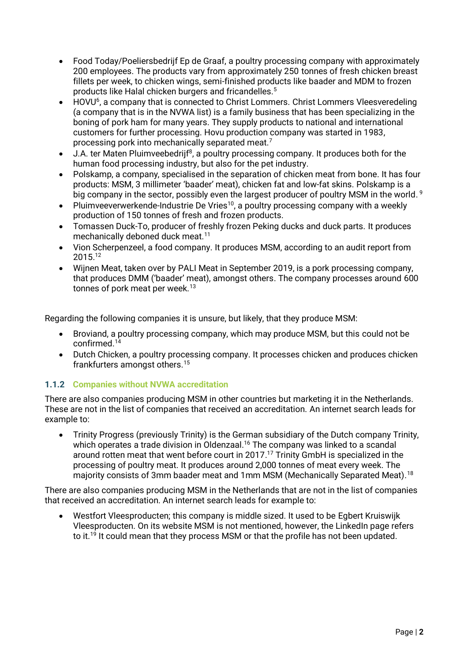- Food Today/Poeliersbedrijf Ep de Graaf, a poultry processing company with approximately 200 employees. The products vary from approximately 250 tonnes of fresh chicken breast fillets per week, to chicken wings, semi-finished products like baader and MDM to frozen products like Halal chicken burgers and fricandelles.<sup>5</sup>
- HOVU<sup>6</sup>, a company that is connected to Christ Lommers. Christ Lommers Vleesveredeling (a company that is in the NVWA list) is a family business that has been specializing in the boning of pork ham for many years. They supply products to national and international customers for further processing. Hovu production company was started in 1983, processing pork into mechanically separated meat.<sup>7</sup>
- $\bullet$  J.A. ter Maten Pluimveebedrijf<sup>8</sup>, a poultry processing company. It produces both for the human food processing industry, but also for the pet industry.
- Polskamp, a company, specialised in the separation of chicken meat from bone. It has four products: MSM, 3 millimeter 'baader' meat), chicken fat and low-fat skins. Polskamp is a big company in the sector, possibly even the largest producer of poultry MSM in the world. <sup>9</sup>
- Pluimveeverwerkende-Industrie De Vries<sup>10</sup>, a poultry processing company with a weekly production of 150 tonnes of fresh and frozen products.
- Tomassen Duck-To, producer of freshly frozen Peking ducks and duck parts. It produces mechanically deboned duck meat.<sup>11</sup>
- Vion Scherpenzeel, a food company. It produces MSM, according to an audit report from 2015.<sup>12</sup>
- Wijnen Meat, taken over by PALI Meat in September 2019, is a pork processing company, that produces DMM ('baader' meat), amongst others. The company processes around 600 tonnes of pork meat per week.<sup>13</sup>

Regarding the following companies it is unsure, but likely, that they produce MSM:

- Broviand, a poultry processing company, which may produce MSM, but this could not be confirmed. 14
- Dutch Chicken, a poultry processing company. It processes chicken and produces chicken frankfurters amongst others.<sup>15</sup>

#### **1.1.2 Companies without NVWA accreditation**

There are also companies producing MSM in other countries but marketing it in the Netherlands. These are not in the list of companies that received an accreditation. An internet search leads for example to:

• Trinity Progress (previously Trinity) is the German subsidiary of the Dutch company Trinity, which operates a trade division in Oldenzaal.<sup>16</sup> The company was linked to a scandal around rotten meat that went before court in 2017. <sup>17</sup> Trinity GmbH is specialized in the processing of poultry meat. It produces around 2,000 tonnes of meat every week. The majority consists of 3mm baader meat and 1mm MSM (Mechanically Separated Meat). 18

There are also companies producing MSM in the Netherlands that are not in the list of companies that received an accreditation. An internet search leads for example to:

• Westfort Vleesproducten; this company is middle sized. It used to be Egbert Kruiswijk Vleesproducten. On its website MSM is not mentioned, however, the LinkedIn page refers to it.<sup>19</sup> It could mean that they process MSM or that the profile has not been updated.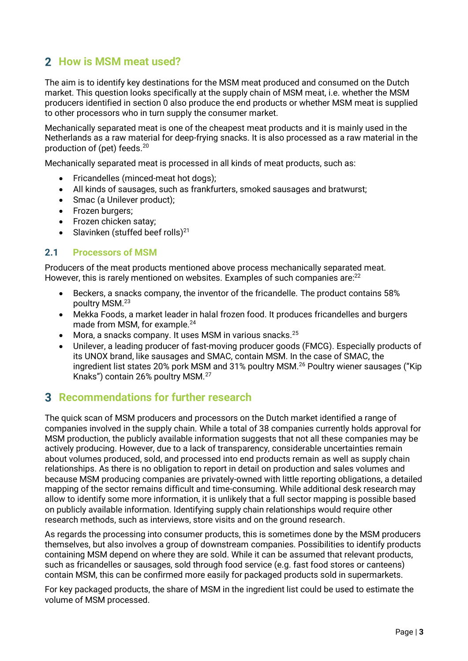# **2** How is MSM meat used?

The aim is to identify key destinations for the MSM meat produced and consumed on the Dutch market. This question looks specifically at the supply chain of MSM meat, i.e. whether the MSM producers identified in section [0](#page-0-0) also produce the end products or whether MSM meat is supplied to other processors who in turn supply the consumer market.

Mechanically separated meat is one of the cheapest meat products and it is mainly used in the Netherlands as a raw material for deep-frying snacks. It is also processed as a raw material in the production of (pet) feeds.<sup>20</sup>

Mechanically separated meat is processed in all kinds of meat products, such as:

- Fricandelles (minced-meat hot dogs);
- All kinds of sausages, such as frankfurters, smoked sausages and bratwurst;
- Smac (a Unilever product);
- Frozen burgers;
- Frozen chicken satay;
- Slavinken (stuffed beef rolls) $^{21}$

#### **2.1 Processors of MSM**

Producers of the meat products mentioned above process mechanically separated meat. However, this is rarely mentioned on websites. Examples of such companies are:<sup>22</sup>

- Beckers, a snacks company, the inventor of the fricandelle. The product contains 58% poultry MSM.<sup>23</sup>
- Mekka Foods, a market leader in halal frozen food. It produces fricandelles and burgers made from MSM, for example.<sup>24</sup>
- Mora, a snacks company. It uses MSM in various snacks.<sup>25</sup>
- Unilever, a leading producer of fast-moving producer goods (FMCG). Especially products of its UNOX brand, like sausages and SMAC, contain MSM. In the case of SMAC, the ingredient list states 20% pork MSM and 31% poultry MSM.<sup>26</sup> Poultry wiener sausages ("Kip Knaks") contain 26% poultry MSM.<sup>27</sup>

# **Recommendations for further research**

The quick scan of MSM producers and processors on the Dutch market identified a range of companies involved in the supply chain. While a total of 38 companies currently holds approval for MSM production, the publicly available information suggests that not all these companies may be actively producing. However, due to a lack of transparency, considerable uncertainties remain about volumes produced, sold, and processed into end products remain as well as supply chain relationships. As there is no obligation to report in detail on production and sales volumes and because MSM producing companies are privately-owned with little reporting obligations, a detailed mapping of the sector remains difficult and time-consuming. While additional desk research may allow to identify some more information, it is unlikely that a full sector mapping is possible based on publicly available information. Identifying supply chain relationships would require other research methods, such as interviews, store visits and on the ground research.

As regards the processing into consumer products, this is sometimes done by the MSM producers themselves, but also involves a group of downstream companies. Possibilities to identify products containing MSM depend on where they are sold. While it can be assumed that relevant products, such as fricandelles or sausages, sold through food service (e.g. fast food stores or canteens) contain MSM, this can be confirmed more easily for packaged products sold in supermarkets.

For key packaged products, the share of MSM in the ingredient list could be used to estimate the volume of MSM processed.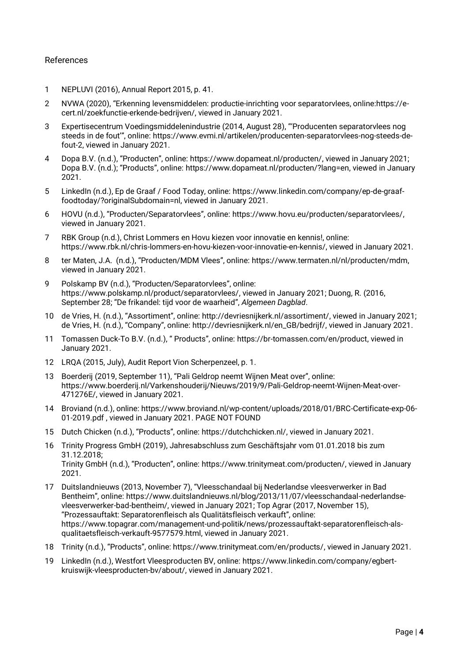#### References

- 1 NEPLUVI (2016), Annual Report 2015, p. 41.
- 2 NVWA (2020), "Erkenning levensmiddelen: productie-inrichting voor separatorvlees, online:https://ecert.nl/zoekfunctie-erkende-bedrijven/, viewed in January 2021.
- 3 Expertisecentrum Voedingsmiddelenindustrie (2014, August 28), "'Producenten separatorvlees nog steeds in de fout'", online: [https://www.evmi.nl/artikelen/producenten-separatorvlees-nog-steeds-de](https://www.evmi.nl/artikelen/producenten-separatorvlees-nog-steeds-de-fout-2)[fout-2,](https://www.evmi.nl/artikelen/producenten-separatorvlees-nog-steeds-de-fout-2) viewed in January 2021.
- 4 Dopa B.V. (n.d.), "Producten", online: [https://www.dopameat.nl/producten/,](https://www.dopameat.nl/producten/) viewed in January 2021; Dopa B.V. (n.d.); "Products", online: [https://www.dopameat.nl/producten/?lang=en,](https://www.dopameat.nl/producten/?lang=en) viewed in January 2021.
- 5 LinkedIn (n.d.), Ep de Graaf / Food Today, online[: https://www.linkedin.com/company/ep-de-graaf](https://www.linkedin.com/company/ep-de-graaf-foodtoday/?originalSubdomain=nl)[foodtoday/?originalSubdomain=nl,](https://www.linkedin.com/company/ep-de-graaf-foodtoday/?originalSubdomain=nl) viewed in January 2021.
- 6 HOVU (n.d.), "Producten/Separatorvlees", online: [https://www.hovu.eu/producten/separatorvlees/,](https://www.hovu.eu/producten/separatorvlees/) viewed in January 2021.
- 7 RBK Group (n.d.), Christ Lommers en Hovu kiezen voor innovatie en kennis!, online: [https://www.rbk.nl/chris-lommers-en-hovu-kiezen-voor-innovatie-en-kennis/,](https://www.rbk.nl/chris-lommers-en-hovu-kiezen-voor-innovatie-en-kennis/) viewed in January 2021.
- 8 ter Maten, J.A. (n.d.), "Producten/MDM Vlees", online: [https://www.termaten.nl/nl/producten/mdm,](https://www.termaten.nl/nl/producten/mdm) viewed in January 2021.
- 9 Polskamp BV (n.d.), "Producten/Separatorvlees", online: [https://www.polskamp.nl/product/separatorvlees/,](https://www.polskamp.nl/product/separatorvlees/) viewed in January 2021; Duong, R. (2016, September 28; "De frikandel: tijd voor de waarheid", *Algemeen Dagblad*.
- 10 de Vries, H. (n.d.), "Assortiment", online: [http://devriesnijkerk.nl/assortiment/,](http://devriesnijkerk.nl/assortiment/) viewed in January 2021; de Vries, H. (n.d.), "Company", online: [http://devriesnijkerk.nl/en\\_GB/bedrijf/,](http://devriesnijkerk.nl/en_GB/bedrijf/) viewed in January 2021.
- 11 Tomassen Duck-To B.V. (n.d.), " Products", online: [https://br-tomassen.com/en/product,](https://br-tomassen.com/en/product) viewed in January 2021.
- 12 LRQA (2015, July), Audit Report Vion Scherpenzeel, p. 1.
- 13 Boerderij (2019, September 11), "Pali Geldrop neemt Wijnen Meat over", online: [https://www.boerderij.nl/Varkenshouderij/Nieuws/2019/9/Pali-Geldrop-neemt-Wijnen-Meat-over-](https://www.boerderij.nl/Varkenshouderij/Nieuws/2019/9/Pali-Geldrop-neemt-Wijnen-Meat-over-471276E/)[471276E/,](https://www.boerderij.nl/Varkenshouderij/Nieuws/2019/9/Pali-Geldrop-neemt-Wijnen-Meat-over-471276E/) viewed in January 2021.
- 14 Broviand (n.d.), online: https://www.broviand.nl/wp-content/uploads/2018/01/BRC-Certificate-exp-06- 01-2019.pdf , viewed in January 2021. PAGE NOT FOUND
- 15 Dutch Chicken (n.d.), "Products", online: [https://dutchchicken.nl/,](https://dutchchicken.nl/) viewed in January 2021.
- 16 Trinity Progress GmbH (2019), Jahresabschluss zum Geschäftsjahr vom 01.01.2018 bis zum 31.12.2018; Trinity GmbH (n.d.), "Producten", online: [https://www.trinitymeat.com/producten/,](https://www.trinitymeat.com/producten/) viewed in January 2021.
- 17 Duitslandnieuws (2013, November 7), "Vleesschandaal bij Nederlandse vleesverwerker in Bad Bentheim", online: [https://www.duitslandnieuws.nl/blog/2013/11/07/vleesschandaal-nederlandse](https://www.duitslandnieuws.nl/blog/2013/11/07/vleesschandaal-nederlandse-vleesverwerker-bad-bentheim/)[vleesverwerker-bad-bentheim/,](https://www.duitslandnieuws.nl/blog/2013/11/07/vleesschandaal-nederlandse-vleesverwerker-bad-bentheim/) viewed in January 2021; Top Agrar (2017, November 15), "Prozessauftakt: Separatorenfleisch als Qualitätsfleisch verkauft", online: [https://www.topagrar.com/management-und-politik/news/prozessauftakt-separatorenfleisch-als](https://www.topagrar.com/management-und-politik/news/prozessauftakt-separatorenfleisch-als-qualitaetsfleisch-verkauft-9577579.html)[qualitaetsfleisch-verkauft-9577579.html,](https://www.topagrar.com/management-und-politik/news/prozessauftakt-separatorenfleisch-als-qualitaetsfleisch-verkauft-9577579.html) viewed in January 2021.
- 18 Trinity (n.d.), "Products", online: [https://www.trinitymeat.com/en/products/,](https://www.trinitymeat.com/en/products/) viewed in January 2021.
- 19 LinkedIn (n.d.), Westfort Vleesproducten BV, online: [https://www.linkedin.com/company/egbert](https://www.linkedin.com/company/egbert-kruiswijk-vleesproducten-bv/about/)[kruiswijk-vleesproducten-bv/about/,](https://www.linkedin.com/company/egbert-kruiswijk-vleesproducten-bv/about/) viewed in January 2021.